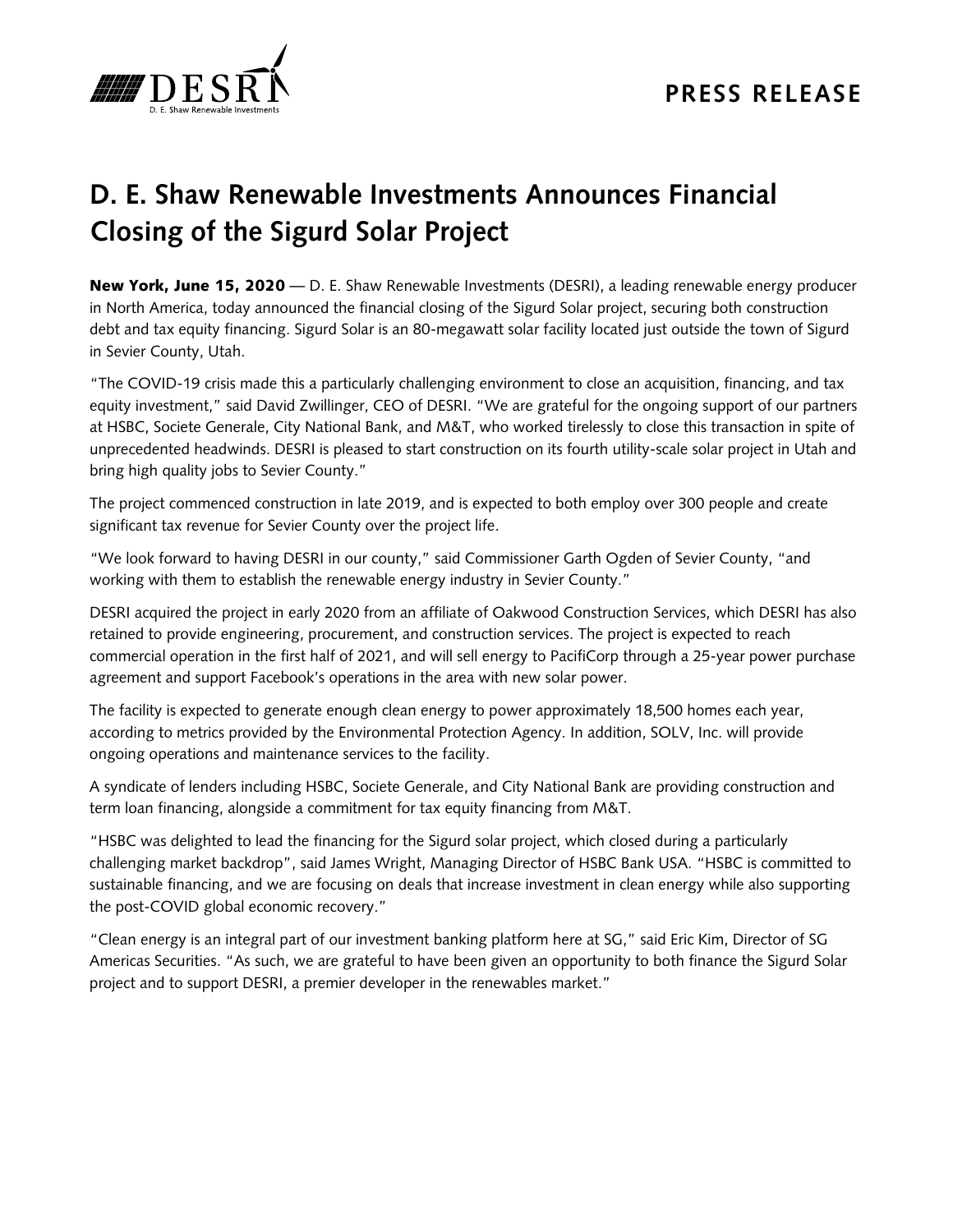

## **D. E. Shaw Renewable Investments Announces Financial Closing of the Sigurd Solar Project**

New York, June 15, 2020 — D. E. Shaw Renewable Investments (DESRI), a leading renewable energy producer in North America, today announced the financial closing of the Sigurd Solar project, securing both construction debt and tax equity financing. Sigurd Solar is an 80-megawatt solar facility located just outside the town of Sigurd in Sevier County, Utah.

"The COVID-19 crisis made this a particularly challenging environment to close an acquisition, financing, and tax equity investment," said David Zwillinger, CEO of DESRI. "We are grateful for the ongoing support of our partners at HSBC, Societe Generale, City National Bank, and M&T, who worked tirelessly to close this transaction in spite of unprecedented headwinds. DESRI is pleased to start construction on its fourth utility-scale solar project in Utah and bring high quality jobs to Sevier County."

The project commenced construction in late 2019, and is expected to both employ over 300 people and create significant tax revenue for Sevier County over the project life.

"We look forward to having DESRI in our county," said Commissioner Garth Ogden of Sevier County, "and working with them to establish the renewable energy industry in Sevier County."

DESRI acquired the project in early 2020 from an affiliate of Oakwood Construction Services, which DESRI has also retained to provide engineering, procurement, and construction services. The project is expected to reach commercial operation in the first half of 2021, and will sell energy to PacifiCorp through a 25-year power purchase agreement and support Facebook's operations in the area with new solar power.

The facility is expected to generate enough clean energy to power approximately 18,500 homes each year, according to metrics provided by the Environmental Protection Agency. In addition, SOLV, Inc. will provide ongoing operations and maintenance services to the facility.

A syndicate of lenders including HSBC, Societe Generale, and City National Bank are providing construction and term loan financing, alongside a commitment for tax equity financing from M&T.

"HSBC was delighted to lead the financing for the Sigurd solar project, which closed during a particularly challenging market backdrop", said James Wright, Managing Director of HSBC Bank USA. "HSBC is committed to sustainable financing, and we are focusing on deals that increase investment in clean energy while also supporting the post-COVID global economic recovery."

"Clean energy is an integral part of our investment banking platform here at SG," said Eric Kim, Director of SG Americas Securities. "As such, we are grateful to have been given an opportunity to both finance the Sigurd Solar project and to support DESRI, a premier developer in the renewables market."